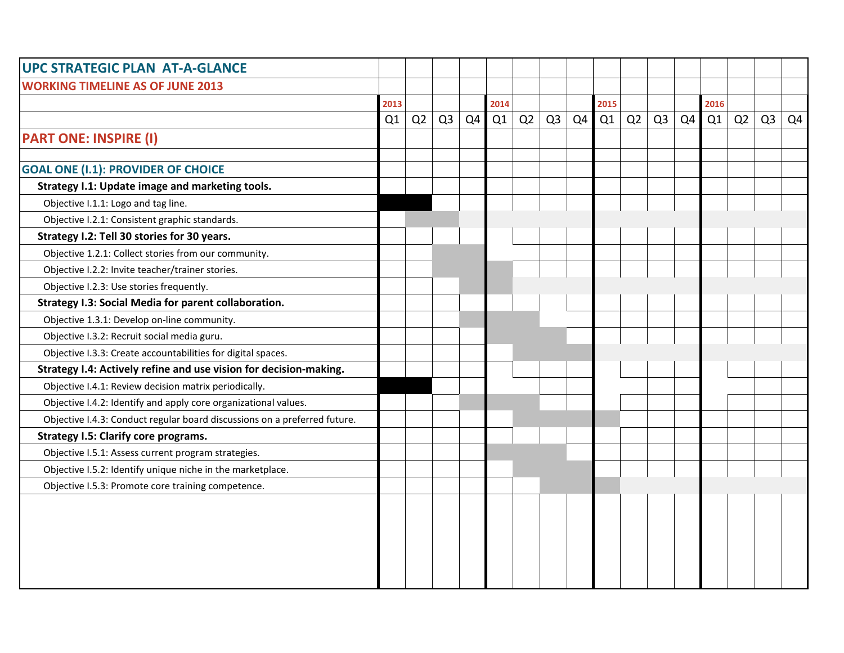| <b>UPC STRATEGIC PLAN AT-A-GLANCE</b>                                     |      |    |                |    |      |    |                |                |      |    |                |                |      |    |                |                |
|---------------------------------------------------------------------------|------|----|----------------|----|------|----|----------------|----------------|------|----|----------------|----------------|------|----|----------------|----------------|
| <b>WORKING TIMELINE AS OF JUNE 2013</b>                                   |      |    |                |    |      |    |                |                |      |    |                |                |      |    |                |                |
|                                                                           | 2013 |    |                |    | 2014 |    |                |                | 2015 |    |                |                | 2016 |    |                |                |
|                                                                           | Q1   | Q2 | Q <sub>3</sub> | Q4 | Q1   | Q2 | Q <sub>3</sub> | Q <sub>4</sub> | Q1   | Q2 | Q <sub>3</sub> | Q <sub>4</sub> | Q1   | Q2 | Q <sub>3</sub> | Q <sub>4</sub> |
| <b>PART ONE: INSPIRE (I)</b>                                              |      |    |                |    |      |    |                |                |      |    |                |                |      |    |                |                |
| <b>GOAL ONE (I.1): PROVIDER OF CHOICE</b>                                 |      |    |                |    |      |    |                |                |      |    |                |                |      |    |                |                |
| Strategy I.1: Update image and marketing tools.                           |      |    |                |    |      |    |                |                |      |    |                |                |      |    |                |                |
| Objective I.1.1: Logo and tag line.                                       |      |    |                |    |      |    |                |                |      |    |                |                |      |    |                |                |
| Objective I.2.1: Consistent graphic standards.                            |      |    |                |    |      |    |                |                |      |    |                |                |      |    |                |                |
| Strategy I.2: Tell 30 stories for 30 years.                               |      |    |                |    |      |    |                |                |      |    |                |                |      |    |                |                |
| Objective 1.2.1: Collect stories from our community.                      |      |    |                |    |      |    |                |                |      |    |                |                |      |    |                |                |
| Objective I.2.2: Invite teacher/trainer stories.                          |      |    |                |    |      |    |                |                |      |    |                |                |      |    |                |                |
| Objective I.2.3: Use stories frequently.                                  |      |    |                |    |      |    |                |                |      |    |                |                |      |    |                |                |
| Strategy I.3: Social Media for parent collaboration.                      |      |    |                |    |      |    |                |                |      |    |                |                |      |    |                |                |
| Objective 1.3.1: Develop on-line community.                               |      |    |                |    |      |    |                |                |      |    |                |                |      |    |                |                |
| Objective I.3.2: Recruit social media guru.                               |      |    |                |    |      |    |                |                |      |    |                |                |      |    |                |                |
| Objective I.3.3: Create accountabilities for digital spaces.              |      |    |                |    |      |    |                |                |      |    |                |                |      |    |                |                |
| Strategy I.4: Actively refine and use vision for decision-making.         |      |    |                |    |      |    |                |                |      |    |                |                |      |    |                |                |
| Objective I.4.1: Review decision matrix periodically.                     |      |    |                |    |      |    |                |                |      |    |                |                |      |    |                |                |
| Objective I.4.2: Identify and apply core organizational values.           |      |    |                |    |      |    |                |                |      |    |                |                |      |    |                |                |
| Objective I.4.3: Conduct regular board discussions on a preferred future. |      |    |                |    |      |    |                |                |      |    |                |                |      |    |                |                |
| <b>Strategy I.5: Clarify core programs.</b>                               |      |    |                |    |      |    |                |                |      |    |                |                |      |    |                |                |
| Objective I.5.1: Assess current program strategies.                       |      |    |                |    |      |    |                |                |      |    |                |                |      |    |                |                |
| Objective I.5.2: Identify unique niche in the marketplace.                |      |    |                |    |      |    |                |                |      |    |                |                |      |    |                |                |
| Objective I.5.3: Promote core training competence.                        |      |    |                |    |      |    |                |                |      |    |                |                |      |    |                |                |
|                                                                           |      |    |                |    |      |    |                |                |      |    |                |                |      |    |                |                |
|                                                                           |      |    |                |    |      |    |                |                |      |    |                |                |      |    |                |                |
|                                                                           |      |    |                |    |      |    |                |                |      |    |                |                |      |    |                |                |
|                                                                           |      |    |                |    |      |    |                |                |      |    |                |                |      |    |                |                |
|                                                                           |      |    |                |    |      |    |                |                |      |    |                |                |      |    |                |                |
|                                                                           |      |    |                |    |      |    |                |                |      |    |                |                |      |    |                |                |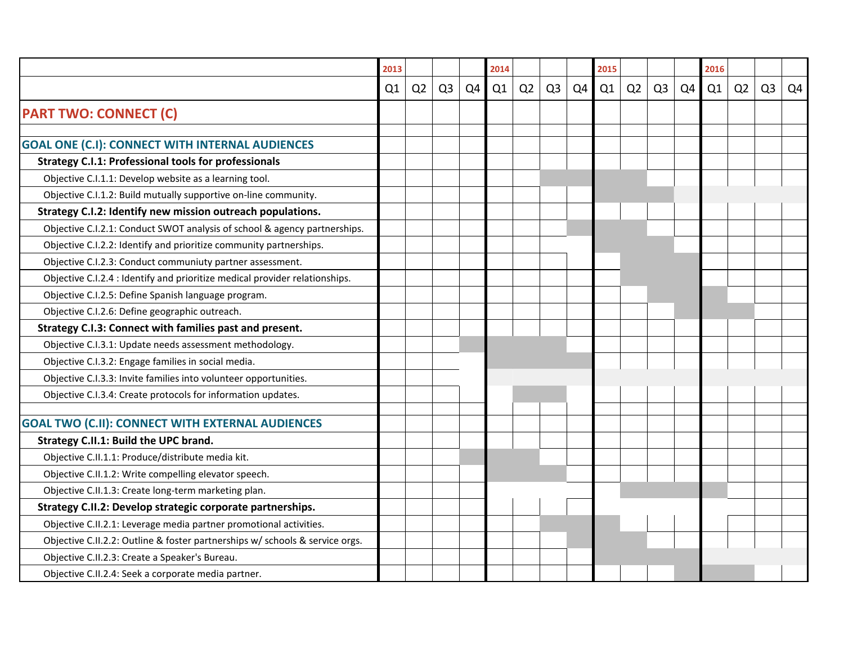|                                                                              | 2013 |                |                |    | 2014 |                |                |                | 2015 |                |                |                | 2016 |                |                |    |
|------------------------------------------------------------------------------|------|----------------|----------------|----|------|----------------|----------------|----------------|------|----------------|----------------|----------------|------|----------------|----------------|----|
|                                                                              | Q1   | Q <sub>2</sub> | Q <sub>3</sub> | Q4 | Q1   | Q <sub>2</sub> | Q <sub>3</sub> | Q <sub>4</sub> | Q1   | Q <sub>2</sub> | Q <sub>3</sub> | Q <sub>4</sub> | Q1   | Q <sub>2</sub> | Q <sub>3</sub> | Q4 |
| <b>PART TWO: CONNECT (C)</b>                                                 |      |                |                |    |      |                |                |                |      |                |                |                |      |                |                |    |
|                                                                              |      |                |                |    |      |                |                |                |      |                |                |                |      |                |                |    |
| <b>GOAL ONE (C.I): CONNECT WITH INTERNAL AUDIENCES</b>                       |      |                |                |    |      |                |                |                |      |                |                |                |      |                |                |    |
| <b>Strategy C.I.1: Professional tools for professionals</b>                  |      |                |                |    |      |                |                |                |      |                |                |                |      |                |                |    |
| Objective C.I.1.1: Develop website as a learning tool.                       |      |                |                |    |      |                |                |                |      |                |                |                |      |                |                |    |
| Objective C.I.1.2: Build mutually supportive on-line community.              |      |                |                |    |      |                |                |                |      |                |                |                |      |                |                |    |
| Strategy C.I.2: Identify new mission outreach populations.                   |      |                |                |    |      |                |                |                |      |                |                |                |      |                |                |    |
| Objective C.I.2.1: Conduct SWOT analysis of school & agency partnerships.    |      |                |                |    |      |                |                |                |      |                |                |                |      |                |                |    |
| Objective C.I.2.2: Identify and prioritize community partnerships.           |      |                |                |    |      |                |                |                |      |                |                |                |      |                |                |    |
| Objective C.I.2.3: Conduct communiuty partner assessment.                    |      |                |                |    |      |                |                |                |      |                |                |                |      |                |                |    |
| Objective C.I.2.4 : Identify and prioritize medical provider relationships.  |      |                |                |    |      |                |                |                |      |                |                |                |      |                |                |    |
| Objective C.I.2.5: Define Spanish language program.                          |      |                |                |    |      |                |                |                |      |                |                |                |      |                |                |    |
| Objective C.I.2.6: Define geographic outreach.                               |      |                |                |    |      |                |                |                |      |                |                |                |      |                |                |    |
| Strategy C.I.3: Connect with families past and present.                      |      |                |                |    |      |                |                |                |      |                |                |                |      |                |                |    |
| Objective C.I.3.1: Update needs assessment methodology.                      |      |                |                |    |      |                |                |                |      |                |                |                |      |                |                |    |
| Objective C.I.3.2: Engage families in social media.                          |      |                |                |    |      |                |                |                |      |                |                |                |      |                |                |    |
| Objective C.I.3.3: Invite families into volunteer opportunities.             |      |                |                |    |      |                |                |                |      |                |                |                |      |                |                |    |
| Objective C.I.3.4: Create protocols for information updates.                 |      |                |                |    |      |                |                |                |      |                |                |                |      |                |                |    |
| <b>GOAL TWO (C.II): CONNECT WITH EXTERNAL AUDIENCES</b>                      |      |                |                |    |      |                |                |                |      |                |                |                |      |                |                |    |
| Strategy C.II.1: Build the UPC brand.                                        |      |                |                |    |      |                |                |                |      |                |                |                |      |                |                |    |
| Objective C.II.1.1: Produce/distribute media kit.                            |      |                |                |    |      |                |                |                |      |                |                |                |      |                |                |    |
| Objective C.II.1.2: Write compelling elevator speech.                        |      |                |                |    |      |                |                |                |      |                |                |                |      |                |                |    |
| Objective C.II.1.3: Create long-term marketing plan.                         |      |                |                |    |      |                |                |                |      |                |                |                |      |                |                |    |
| Strategy C.II.2: Develop strategic corporate partnerships.                   |      |                |                |    |      |                |                |                |      |                |                |                |      |                |                |    |
| Objective C.II.2.1: Leverage media partner promotional activities.           |      |                |                |    |      |                |                |                |      |                |                |                |      |                |                |    |
| Objective C.II.2.2: Outline & foster partnerships w/ schools & service orgs. |      |                |                |    |      |                |                |                |      |                |                |                |      |                |                |    |
| Objective C.II.2.3: Create a Speaker's Bureau.                               |      |                |                |    |      |                |                |                |      |                |                |                |      |                |                |    |
| Objective C.II.2.4: Seek a corporate media partner.                          |      |                |                |    |      |                |                |                |      |                |                |                |      |                |                |    |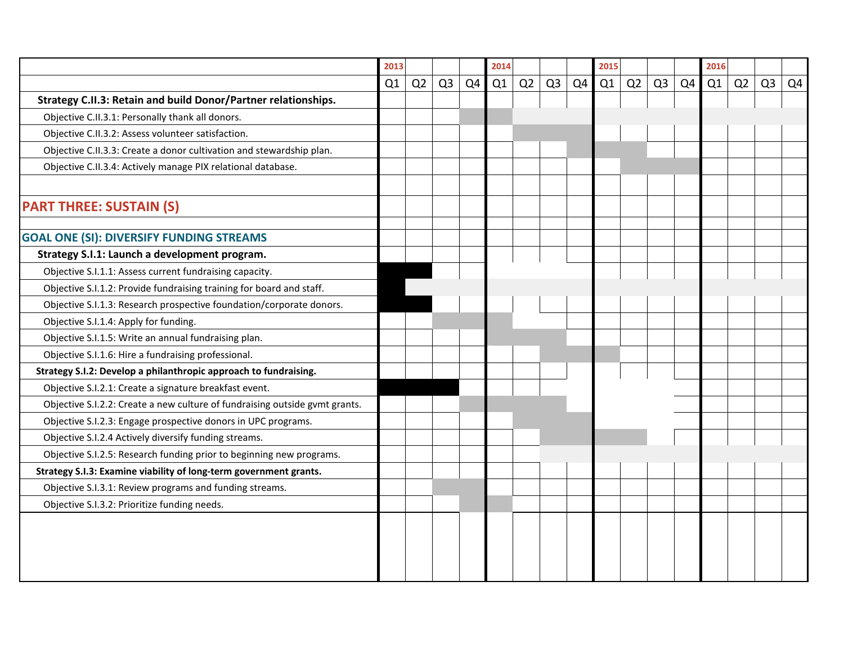|                                                                             | 2013 |                |                |    | 2014 |    | 2015           |    |    |    | 2016           |                |    |    |                |                |
|-----------------------------------------------------------------------------|------|----------------|----------------|----|------|----|----------------|----|----|----|----------------|----------------|----|----|----------------|----------------|
|                                                                             | Q1   | Q <sub>2</sub> | Q <sub>3</sub> | Q4 | Q1   | Q2 | Q <sub>3</sub> | Q4 | Q1 | Q2 | Q <sub>3</sub> | Q <sub>4</sub> | Q1 | Q2 | Q <sub>3</sub> | Q <sub>4</sub> |
| Strategy C.II.3: Retain and build Donor/Partner relationships.              |      |                |                |    |      |    |                |    |    |    |                |                |    |    |                |                |
| Objective C.II.3.1: Personally thank all donors.                            |      |                |                |    |      |    |                |    |    |    |                |                |    |    |                |                |
| Objective C.II.3.2: Assess volunteer satisfaction.                          |      |                |                |    |      |    |                |    |    |    |                |                |    |    |                |                |
| Objective C.II.3.3: Create a donor cultivation and stewardship plan.        |      |                |                |    |      |    |                |    |    |    |                |                |    |    |                |                |
| Objective C.II.3.4: Actively manage PIX relational database.                |      |                |                |    |      |    |                |    |    |    |                |                |    |    |                |                |
| <b>PART THREE: SUSTAIN (S)</b>                                              |      |                |                |    |      |    |                |    |    |    |                |                |    |    |                |                |
| <b>GOAL ONE (SI): DIVERSIFY FUNDING STREAMS</b>                             |      |                |                |    |      |    |                |    |    |    |                |                |    |    |                |                |
| Strategy S.I.1: Launch a development program.                               |      |                |                |    |      |    |                |    |    |    |                |                |    |    |                |                |
| Objective S.I.1.1: Assess current fundraising capacity.                     |      |                |                |    |      |    |                |    |    |    |                |                |    |    |                |                |
| Objective S.I.1.2: Provide fundraising training for board and staff.        |      |                |                |    |      |    |                |    |    |    |                |                |    |    |                |                |
| Objective S.I.1.3: Research prospective foundation/corporate donors.        |      |                |                |    |      |    |                |    |    |    |                |                |    |    |                |                |
| Objective S.I.1.4: Apply for funding.                                       |      |                |                |    |      |    |                |    |    |    |                |                |    |    |                |                |
| Objective S.I.1.5: Write an annual fundraising plan.                        |      |                |                |    |      |    |                |    |    |    |                |                |    |    |                |                |
| Objective S.I.1.6: Hire a fundraising professional.                         |      |                |                |    |      |    |                |    |    |    |                |                |    |    |                |                |
| Strategy S.I.2: Develop a philanthropic approach to fundraising.            |      |                |                |    |      |    |                |    |    |    |                |                |    |    |                |                |
| Objective S.I.2.1: Create a signature breakfast event.                      |      |                |                |    |      |    |                |    |    |    |                |                |    |    |                |                |
| Objective S.I.2.2: Create a new culture of fundraising outside gvmt grants. |      |                |                |    |      |    |                |    |    |    |                |                |    |    |                |                |
| Objective S.I.2.3: Engage prospective donors in UPC programs.               |      |                |                |    |      |    |                |    |    |    |                |                |    |    |                |                |
| Objective S.I.2.4 Actively diversify funding streams.                       |      |                |                |    |      |    |                |    |    |    |                |                |    |    |                |                |
| Objective S.I.2.5: Research funding prior to beginning new programs.        |      |                |                |    |      |    |                |    |    |    |                |                |    |    |                |                |
| Strategy S.I.3: Examine viability of long-term government grants.           |      |                |                |    |      |    |                |    |    |    |                |                |    |    |                |                |
| Objective S.I.3.1: Review programs and funding streams.                     |      |                |                |    |      |    |                |    |    |    |                |                |    |    |                |                |
| Objective S.I.3.2: Prioritize funding needs.                                |      |                |                |    |      |    |                |    |    |    |                |                |    |    |                |                |
|                                                                             |      |                |                |    |      |    |                |    |    |    |                |                |    |    |                |                |
|                                                                             |      |                |                |    |      |    |                |    |    |    |                |                |    |    |                |                |